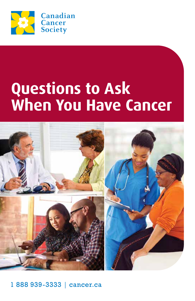

# **Questions to Ask When You Have Cancer**



1888 939-3333 | cancer.ca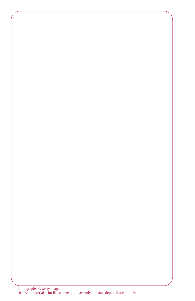Photographs: © Getty Images Licensed material is for illustrative purposes only; persons depicted are models.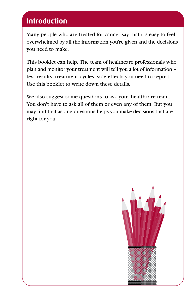# **Introduction**

Many people who are treated for cancer say that it's easy to feel overwhelmed by all the information you're given and the decisions you need to make.

This booklet can help. The team of healthcare professionals who plan and monitor your treatment will tell you a lot of information – test results, treatment cycles, side effects you need to report. Use this booklet to write down these details.

We also suggest some questions to ask your healthcare team. You don't have to ask all of them or even any of them. But you may find that asking questions helps you make decisions that are right for you.

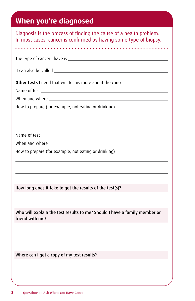# **When you're diagnosed**

| Diagnosis is the process of finding the cause of a health problem.<br>In most cases, cancer is confirmed by having some type of biopsy.                                                                                              |  |  |  |  |  |  |
|--------------------------------------------------------------------------------------------------------------------------------------------------------------------------------------------------------------------------------------|--|--|--|--|--|--|
|                                                                                                                                                                                                                                      |  |  |  |  |  |  |
|                                                                                                                                                                                                                                      |  |  |  |  |  |  |
|                                                                                                                                                                                                                                      |  |  |  |  |  |  |
| Other tests I need that will tell us more about the cancer                                                                                                                                                                           |  |  |  |  |  |  |
|                                                                                                                                                                                                                                      |  |  |  |  |  |  |
| When and where <b>with a set of the set of the set of the set of the set of the set of the set of the set of the set of the set of the set of the set of the set of the set of the set of the set of the set of the set of the s</b> |  |  |  |  |  |  |
| How to prepare (for example, not eating or drinking)                                                                                                                                                                                 |  |  |  |  |  |  |
|                                                                                                                                                                                                                                      |  |  |  |  |  |  |
|                                                                                                                                                                                                                                      |  |  |  |  |  |  |
| How to prepare (for example, not eating or drinking)                                                                                                                                                                                 |  |  |  |  |  |  |
|                                                                                                                                                                                                                                      |  |  |  |  |  |  |
| How long does it take to get the results of the test(s)?                                                                                                                                                                             |  |  |  |  |  |  |
| Who will explain the test results to me? Should I have a family member or<br>friend with me?                                                                                                                                         |  |  |  |  |  |  |
|                                                                                                                                                                                                                                      |  |  |  |  |  |  |
| Where can I get a copy of my test results?                                                                                                                                                                                           |  |  |  |  |  |  |
|                                                                                                                                                                                                                                      |  |  |  |  |  |  |
|                                                                                                                                                                                                                                      |  |  |  |  |  |  |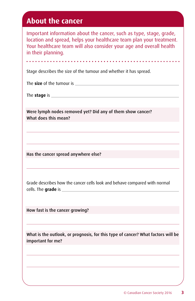# **About the cancer**

Important information about the cancer, such as type, stage, grade, location and spread, helps your healthcare team plan your treatment. Your healthcare team will also consider your age and overall health in their planning.

Stage describes the size of the tumour and whether it has spread.

The **size** of the tumour is

a a a a a a a an

The **stage** is

Were lymph nodes removed yet? Did any of them show cancer? What does this mean?

Has the cancer spread anywhere else?

Grade describes how the cancer cells look and behave compared with normal cells. The **grade** is

How fast is the cancer growing?

What is the outlook, or prognosis, for this type of cancer? What factors will be important for me?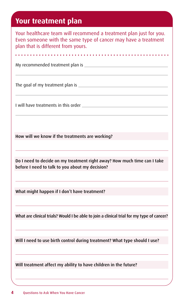### **Your treatment plan**

Your healthcare team will recommend a treatment plan just for you. Even someone with the same type of cancer may have a treatment plan that is different from yours.

. . . . . . . . . . . . . . . . . .

My recommended treatment plan is

The goal of my treatment plan is **Exercise 2018** 

I will have treatments in this order

How will we know if the treatments are working?

Do I need to decide on my treatment right away? How much time can I take before I need to talk to you about my decision?

What might happen if I don't have treatment?

What are clinical trials? Would I be able to join a clinical trial for my type of cancer?

Will I need to use birth control during treatment? What type should I use?

Will treatment affect my ability to have children in the future?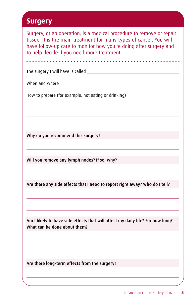### **Surgery**

Surgery, or an operation, is a medical procedure to remove or repair tissue. It is the main treatment for many types of cancer. You will have follow-up care to monitor how you're doing after surgery and to help decide if you need more treatment.

. . . . . . . . . . . . . . . . . .

The surgery I will have is called

When and where

How to prepare (for example, not eating or drinking)

Why do you recommend this surgery?

Will you remove any lymph nodes? If so, why?

Are there any side effects that I need to report right away? Who do I tell?

Am I likely to have side effects that will affect my daily life? For how long? What can be done about them?

Are there long-term effects from the surgery?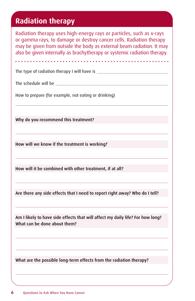# **Radiation therapy**

Radiation therapy uses high-energy rays or particles, such as x-rays or gamma rays, to damage or destroy cancer cells. Radiation therapy may be given from outside the body as external beam radiation. It may also be given internally as brachytherapy or systemic radiation therapy.

. . . . . . . . . .

The type of radiation therapy I will have is

The schedule will be

How to prepare (for example, not eating or drinking)

Why do you recommend this treatment?

How will we know if the treatment is working?

How will it be combined with other treatment, if at all?

Are there any side effects that I need to report right away? Who do I tell?

Am I likely to have side effects that will affect my daily life? For how long? What can be done about them?

What are the possible long-term effects from the radiation therapy?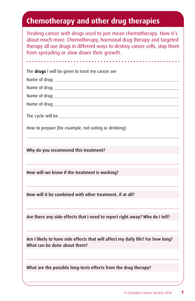# **Chemotherapy and other drug therapies**

Treating cancer with drugs used to just mean chemotherapy. Now it's about much more. Chemotherapy, hormonal drug therapy and targeted therapy all use drugs in different ways to destroy cancer cells, stop them from spreading or slow down their growth.

| The drugs I will be given to treat my cancer are                                                               |
|----------------------------------------------------------------------------------------------------------------|
|                                                                                                                |
|                                                                                                                |
|                                                                                                                |
|                                                                                                                |
|                                                                                                                |
| How to prepare (for example, not eating or drinking)                                                           |
|                                                                                                                |
|                                                                                                                |
| Why do you recommend this treatment?                                                                           |
|                                                                                                                |
| How will we know if the treatment is working?                                                                  |
|                                                                                                                |
|                                                                                                                |
| How will it be combined with other treatment, if at all?                                                       |
|                                                                                                                |
| Are there any side effects that I need to report right away? Who do I tell?                                    |
|                                                                                                                |
|                                                                                                                |
| Am I likely to have side effects that will affect my daily life? For how long?<br>What can be done about them? |
|                                                                                                                |
|                                                                                                                |
| What are the possible long-term effects from the drug therapy?                                                 |
|                                                                                                                |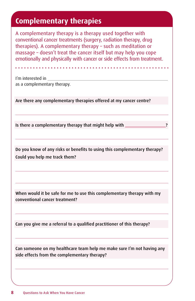# **Complementary therapies**

A complementary therapy is a therapy used together with conventional cancer treatments (surgery, radiation therapy, drug therapies). A complementary therapy – such as meditation or massage – doesn't treat the cancer itself but may help you cope emotionally and physically with cancer or side effects from treatment.

I'm interested in as a complementary therapy.

Are there any complementary therapies offered at my cancer centre?

Is there a complementary therapy that might help with

Do you know of any risks or benefits to using this complementary therapy? Could you help me track them?

When would it be safe for me to use this complementary therapy with my conventional cancer treatment?

Can you give me a referral to a qualified practitioner of this therapy?

Can someone on my healthcare team help me make sure I'm not having any side effects from the complementary therapy?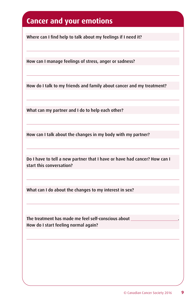# **Cancer and your emotions**

Where can I find help to talk about my feelings if I need it?

How can I manage feelings of stress, anger or sadness?

How do I talk to my friends and family about cancer and my treatment?

What can my partner and I do to help each other?

How can I talk about the changes in my body with my partner?

Do I have to tell a new partner that I have or have had cancer? How can I start this conversation?

What can I do about the changes to my interest in sex?

The treatment has made me feel self-conscious about How do I start feeling normal again?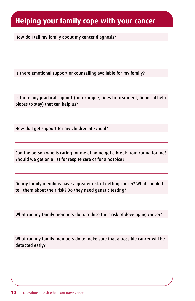# **Helping your family cope with your cancer**

How do I tell my family about my cancer diagnosis?

Is there emotional support or counselling available for my family?

Is there any practical support (for example, rides to treatment, financial help, places to stay) that can help us?

How do I get support for my children at school?

Can the person who is caring for me at home get a break from caring for me? Should we get on a list for respite care or for a hospice?

Do my family members have a greater risk of getting cancer? What should I tell them about their risk? Do they need genetic testing?

What can my family members do to reduce their risk of developing cancer?

What can my family members do to make sure that a possible cancer will be detected early?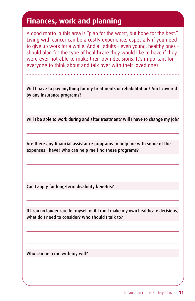## **Finances, work and planning**

A good motto in this area is "plan for the worst, but hope for the best." Living with cancer can be a costly experience, especially if you need to give up work for a while. And all adults – even young, healthy ones – should plan for the type of healthcare they would like to have if they were ever not able to make their own decisions. It's important for everyone to think about and talk over with their loved ones.

Will I have to pay anything for my treatments or rehabilitation? Am I covered by any insurance programs?

Will I be able to work during and after treatment? Will I have to change my job?

Are there any financial assistance programs to help me with some of the expenses I have? Who can help me find these programs?

Can I apply for long-term disability benefits?

If I can no longer care for myself or if I can't make my own healthcare decisions, what do I need to consider? Who should I talk to?

Who can help me with my will?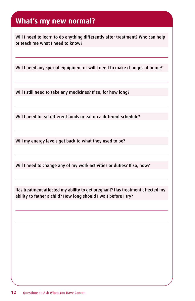# **What's my new normal?**

Will I need to learn to do anything differently after treatment? Who can help or teach me what I need to know?

Will I need any special equipment or will I need to make changes at home?

Will I still need to take any medicines? If so, for how long?

Will I need to eat different foods or eat on a different schedule?

Will my energy levels get back to what they used to be?

Will I need to change any of my work activities or duties? If so, how?

Has treatment affected my ability to get pregnant? Has treatment affected my ability to father a child? How long should I wait before I try?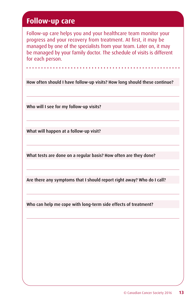# **Follow-up care**

Follow-up care helps you and your healthcare team monitor your progress and your recovery from treatment. At first, it may be managed by one of the specialists from your team. Later on, it may be managed by your family doctor. The schedule of visits is different for each person.

How often should I have follow-up visits? How long should these continue?

Who will I see for my follow-up visits?

What will happen at a follow-up visit?

What tests are done on a regular basis? How often are they done?

Are there any symptoms that I should report right away? Who do I call?

Who can help me cope with long-term side effects of treatment?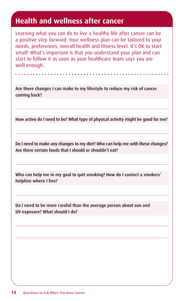# **Health and wellness after cancer**

Learning what you can do to live a healthy life after cancer can be a positive step forward. Your wellness plan can be tailored to your needs, preferences, overall health and fitness level. It's OK to start small! What's important is that you understand your plan and can start to follow it as soon as your healthcare team says you are well enough.

Are there changes I can make to my lifestyle to reduce my risk of cancer coming back?

How active do I need to be? What type of physical activity might be good for me?

Do I need to make any changes to my diet? Who can help me with these changes? Are there certain foods that I should or shouldn't eat?

Who can help me in my goal to quit smoking? How do I contact a smokers' helpline where I live?

Do I need to be more careful than the average person about sun and UV exposure? What should I do?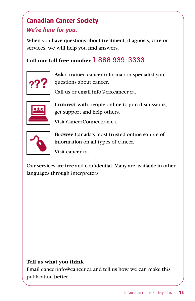# **Canadian Cancer Society** *We're here for you.*

When you have questions about treatment, diagnosis, care or services, we will help you find answers.

#### **Call our toll-free number** 1 888 939-3333.



**Ask** a trained cancer information specialist your questions about cancer.

Call us or email info@cis.cancer.ca.



**Connect** with people online to join discussions, get support and help others.

Visit CancerConnection.ca.



**Browse** Canada's most trusted online source of information on all types of cancer.

Visit cancer.ca.

Our services are free and confidential. Many are available in other languages through interpreters.

#### **Tell us what you think**

Email cancerinfo@cancer.ca and tell us how we can make this publication better.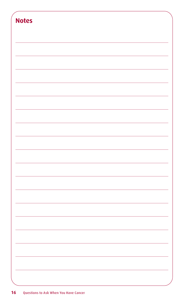| <b>Notes</b> |  |  |  |
|--------------|--|--|--|
|              |  |  |  |
|              |  |  |  |
|              |  |  |  |
|              |  |  |  |
|              |  |  |  |
|              |  |  |  |
|              |  |  |  |
|              |  |  |  |
|              |  |  |  |
|              |  |  |  |
|              |  |  |  |
|              |  |  |  |
|              |  |  |  |
|              |  |  |  |
|              |  |  |  |
|              |  |  |  |
|              |  |  |  |
|              |  |  |  |
|              |  |  |  |
|              |  |  |  |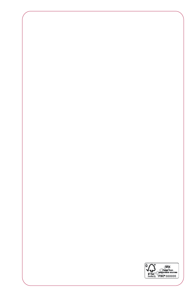